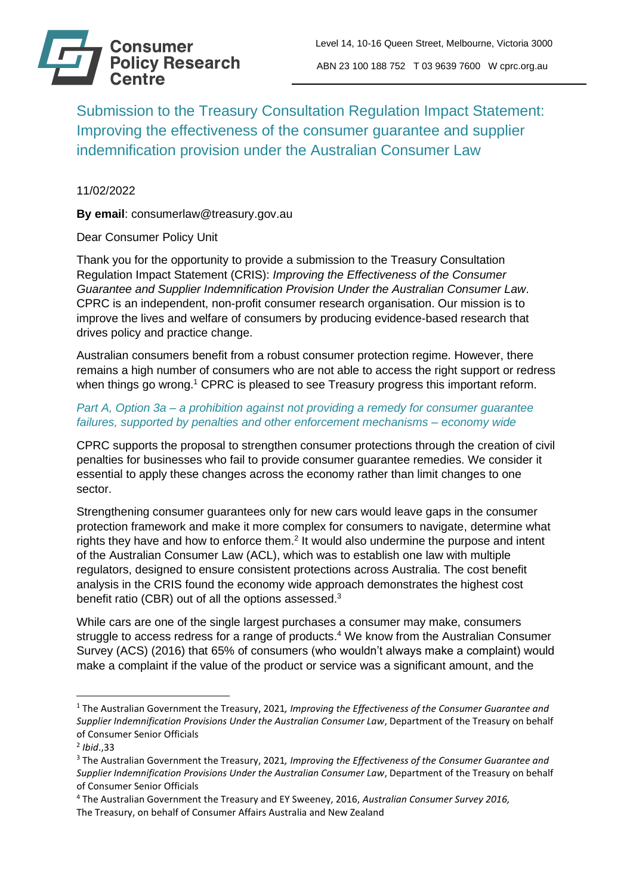

Submission to the Treasury Consultation Regulation Impact Statement: Improving the effectiveness of the consumer guarantee and supplier indemnification provision under the Australian Consumer Law

11/02/2022

**By email**: consumerlaw@treasury.gov.au

Dear Consumer Policy Unit

Thank you for the opportunity to provide a submission to the Treasury Consultation Regulation Impact Statement (CRIS): *Improving the Effectiveness of the Consumer Guarantee and Supplier Indemnification Provision Under the Australian Consumer Law*. CPRC is an independent, non-profit consumer research organisation. Our mission is to improve the lives and welfare of consumers by producing evidence-based research that drives policy and practice change.

Australian consumers benefit from a robust consumer protection regime. However, there remains a high number of consumers who are not able to access the right support or redress when things go wrong.<sup>1</sup> CPRC is pleased to see Treasury progress this important reform.

*Part A, Option 3a – a prohibition against not providing a remedy for consumer guarantee failures, supported by penalties and other enforcement mechanisms – economy wide*

CPRC supports the proposal to strengthen consumer protections through the creation of civil penalties for businesses who fail to provide consumer guarantee remedies. We consider it essential to apply these changes across the economy rather than limit changes to one sector.

Strengthening consumer guarantees only for new cars would leave gaps in the consumer protection framework and make it more complex for consumers to navigate, determine what rights they have and how to enforce them.<sup>2</sup> It would also undermine the purpose and intent of the Australian Consumer Law (ACL), which was to establish one law with multiple regulators, designed to ensure consistent protections across Australia. The cost benefit analysis in the CRIS found the economy wide approach demonstrates the highest cost benefit ratio (CBR) out of all the options assessed.<sup>3</sup>

While cars are one of the single largest purchases a consumer may make, consumers struggle to access redress for a range of products.<sup>4</sup> We know from the Australian Consumer Survey (ACS) (2016) that 65% of consumers (who wouldn't always make a complaint) would make a complaint if the value of the product or service was a significant amount, and the

<sup>1</sup> The Australian Government the Treasury, 2021*, Improving the Effectiveness of the Consumer Guarantee and Supplier Indemnification Provisions Under the Australian Consumer Law*, Department of the Treasury on behalf of Consumer Senior Officials

<sup>2</sup> *Ibid*.,33

<sup>3</sup> The Australian Government the Treasury, 2021*, Improving the Effectiveness of the Consumer Guarantee and Supplier Indemnification Provisions Under the Australian Consumer Law*, Department of the Treasury on behalf of Consumer Senior Officials

<sup>4</sup> The Australian Government the Treasury and EY Sweeney, 2016, *Australian Consumer Survey 2016,* The Treasury, on behalf of Consumer Affairs Australia and New Zealand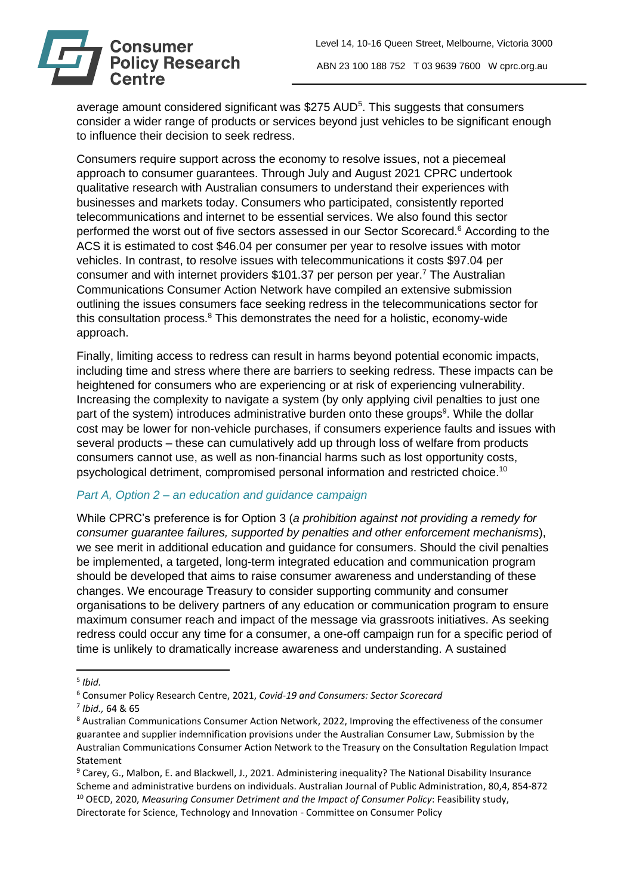

average amount considered significant was \$275  $AUD<sup>5</sup>$ . This suggests that consumers consider a wider range of products or services beyond just vehicles to be significant enough to influence their decision to seek redress.

Consumers require support across the economy to resolve issues, not a piecemeal approach to consumer guarantees. Through July and August 2021 CPRC undertook qualitative research with Australian consumers to understand their experiences with businesses and markets today. Consumers who participated, consistently reported telecommunications and internet to be essential services. We also found this sector performed the worst out of five sectors assessed in our Sector Scorecard. <sup>6</sup> According to the ACS it is estimated to cost \$46.04 per consumer per year to resolve issues with motor vehicles. In contrast, to resolve issues with telecommunications it costs \$97.04 per consumer and with internet providers \$101.37 per person per year. <sup>7</sup> The Australian Communications Consumer Action Network have compiled an extensive submission outlining the issues consumers face seeking redress in the telecommunications sector for this consultation process.<sup>8</sup> This demonstrates the need for a holistic, economy-wide approach.

Finally, limiting access to redress can result in harms beyond potential economic impacts, including time and stress where there are barriers to seeking redress. These impacts can be heightened for consumers who are experiencing or at risk of experiencing vulnerability. Increasing the complexity to navigate a system (by only applying civil penalties to just one part of the system) introduces administrative burden onto these groups<sup>9</sup>. While the dollar cost may be lower for non-vehicle purchases, if consumers experience faults and issues with several products – these can cumulatively add up through loss of welfare from products consumers cannot use, as well as non-financial harms such as lost opportunity costs, psychological detriment, compromised personal information and restricted choice.<sup>10</sup>

# *Part A, Option 2 – an education and guidance campaign*

While CPRC's preference is for Option 3 (*a prohibition against not providing a remedy for consumer guarantee failures, supported by penalties and other enforcement mechanisms*), we see merit in additional education and guidance for consumers. Should the civil penalties be implemented, a targeted, long-term integrated education and communication program should be developed that aims to raise consumer awareness and understanding of these changes. We encourage Treasury to consider supporting community and consumer organisations to be delivery partners of any education or communication program to ensure maximum consumer reach and impact of the message via grassroots initiatives. As seeking redress could occur any time for a consumer, a one-off campaign run for a specific period of time is unlikely to dramatically increase awareness and understanding. A sustained

<sup>5</sup> *Ibid.*

<sup>6</sup> Consumer Policy Research Centre, 2021, *Covid-19 and Consumers: Sector Scorecard*

<sup>7</sup> *Ibid.,* 64 & 65

<sup>8</sup> Australian Communications Consumer Action Network, 2022, Improving the effectiveness of the consumer guarantee and supplier indemnification provisions under the Australian Consumer Law, Submission by the Australian Communications Consumer Action Network to the Treasury on the Consultation Regulation Impact Statement

<sup>&</sup>lt;sup>9</sup> Carey, G., Malbon, E. and Blackwell, J., 2021. Administering inequality? The National Disability Insurance Scheme and administrative burdens on individuals. Australian Journal of Public Administration, 80,4, 854-872 <sup>10</sup> OECD, 2020, *Measuring Consumer Detriment and the Impact of Consumer Policy*: Feasibility study, Directorate for Science, Technology and Innovation - Committee on Consumer Policy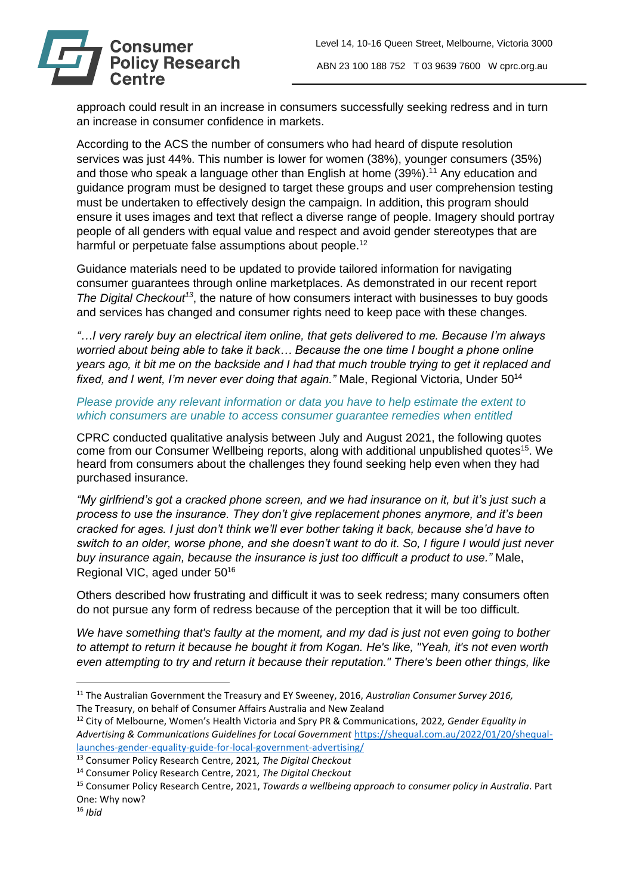

approach could result in an increase in consumers successfully seeking redress and in turn an increase in consumer confidence in markets.

According to the ACS the number of consumers who had heard of dispute resolution services was just 44%. This number is lower for women (38%), younger consumers (35%) and those who speak a language other than English at home (39%).<sup>11</sup> Any education and guidance program must be designed to target these groups and user comprehension testing must be undertaken to effectively design the campaign. In addition, this program should ensure it uses images and text that reflect a diverse range of people. Imagery should portray people of all genders with equal value and respect and avoid gender stereotypes that are harmful or perpetuate false assumptions about people.<sup>12</sup>

Guidance materials need to be updated to provide tailored information for navigating consumer guarantees through online marketplaces. As demonstrated in our recent report *The Digital Checkout<sup>13</sup>*, the nature of how consumers interact with businesses to buy goods and services has changed and consumer rights need to keep pace with these changes.

*"…I very rarely buy an electrical item online, that gets delivered to me. Because I'm always worried about being able to take it back… Because the one time I bought a phone online years ago, it bit me on the backside and I had that much trouble trying to get it replaced and fixed, and I went, I'm never ever doing that again."* Male, Regional Victoria, Under 50<sup>14</sup>

## *Please provide any relevant information or data you have to help estimate the extent to which consumers are unable to access consumer guarantee remedies when entitled*

CPRC conducted qualitative analysis between July and August 2021, the following quotes come from our Consumer Wellbeing reports, along with additional unpublished quotes<sup>15</sup>. We heard from consumers about the challenges they found seeking help even when they had purchased insurance.

*"My girlfriend's got a cracked phone screen, and we had insurance on it, but it's just such a process to use the insurance. They don't give replacement phones anymore, and it's been cracked for ages. I just don't think we'll ever bother taking it back, because she'd have to switch to an older, worse phone, and she doesn't want to do it. So, I figure I would just never buy insurance again, because the insurance is just too difficult a product to use."* Male, Regional VIC, aged under 50<sup>16</sup>

Others described how frustrating and difficult it was to seek redress; many consumers often do not pursue any form of redress because of the perception that it will be too difficult.

*We have something that's faulty at the moment, and my dad is just not even going to bother to attempt to return it because he bought it from Kogan. He's like, "Yeah, it's not even worth even attempting to try and return it because their reputation." There's been other things, like* 

<sup>11</sup> The Australian Government the Treasury and EY Sweeney, 2016, *Australian Consumer Survey 2016,* The Treasury, on behalf of Consumer Affairs Australia and New Zealand

<sup>12</sup> City of Melbourne, Women's Health Victoria and Spry PR & Communications, 2022*, Gender Equality in Advertising & Communications Guidelines for Local Government* [https://shequal.com.au/2022/01/20/shequal](https://shequal.com.au/2022/01/20/shequal-launches-gender-equality-guide-for-local-government-advertising/)[launches-gender-equality-guide-for-local-government-advertising/](https://shequal.com.au/2022/01/20/shequal-launches-gender-equality-guide-for-local-government-advertising/)

<sup>13</sup> Consumer Policy Research Centre, 2021*, The Digital Checkout*

<sup>14</sup> Consumer Policy Research Centre, 2021*, The Digital Checkout*

<sup>15</sup> Consumer Policy Research Centre, 2021, *Towards a wellbeing approach to consumer policy in Australia*. Part One: Why now?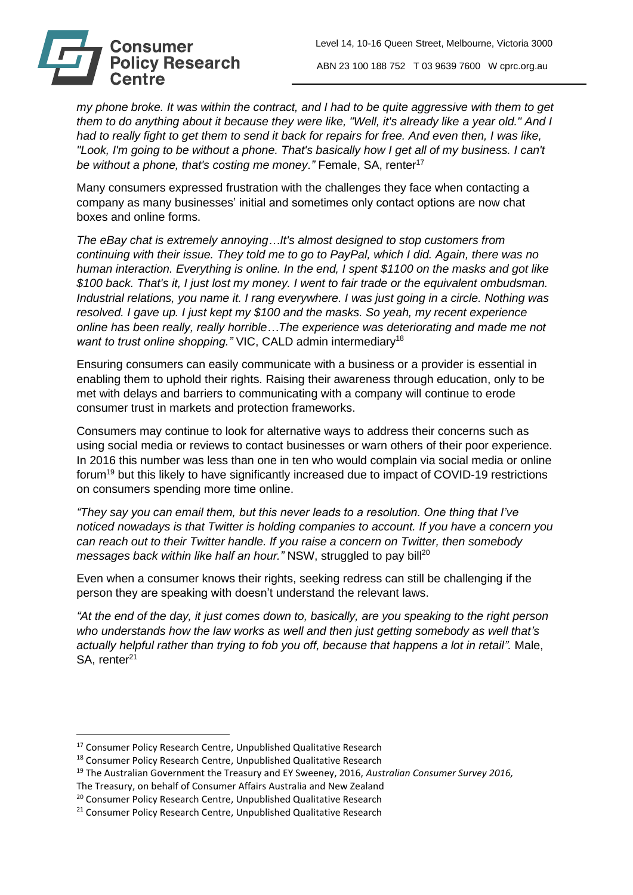

*my phone broke. It was within the contract, and I had to be quite aggressive with them to get them to do anything about it because they were like, "Well, it's already like a year old." And I had to really fight to get them to send it back for repairs for free. And even then, I was like,*  "Look, I'm going to be without a phone. That's basically how I get all of my business. I can't be without a phone, that's costing me money." Female, SA, renter<sup>17</sup>

Many consumers expressed frustration with the challenges they face when contacting a company as many businesses' initial and sometimes only contact options are now chat boxes and online forms.

*The eBay chat is extremely annoying…It's almost designed to stop customers from continuing with their issue. They told me to go to PayPal, which I did. Again, there was no human interaction. Everything is online. In the end, I spent \$1100 on the masks and got like \$100 back. That's it, I just lost my money. I went to fair trade or the equivalent ombudsman. Industrial relations, you name it. I rang everywhere. I was just going in a circle. Nothing was resolved. I gave up. I just kept my \$100 and the masks. So yeah, my recent experience online has been really, really horrible…The experience was deteriorating and made me not*  want to trust online shopping." VIC, CALD admin intermediary<sup>18</sup>

Ensuring consumers can easily communicate with a business or a provider is essential in enabling them to uphold their rights. Raising their awareness through education, only to be met with delays and barriers to communicating with a company will continue to erode consumer trust in markets and protection frameworks.

Consumers may continue to look for alternative ways to address their concerns such as using social media or reviews to contact businesses or warn others of their poor experience. In 2016 this number was less than one in ten who would complain via social media or online forum<sup>19</sup> but this likely to have significantly increased due to impact of COVID-19 restrictions on consumers spending more time online.

*"They say you can email them, but this never leads to a resolution. One thing that I've noticed nowadays is that Twitter is holding companies to account. If you have a concern you can reach out to their Twitter handle. If you raise a concern on Twitter, then somebody messages back within like half an hour."* NSW, struggled to pay bill<sup>20</sup>

Even when a consumer knows their rights, seeking redress can still be challenging if the person they are speaking with doesn't understand the relevant laws.

*"At the end of the day, it just comes down to, basically, are you speaking to the right person who understands how the law works as well and then just getting somebody as well that's actually helpful rather than trying to fob you off, because that happens a lot in retail".* Male, SA, renter<sup>21</sup>

<sup>&</sup>lt;sup>17</sup> Consumer Policy Research Centre, Unpublished Qualitative Research

<sup>&</sup>lt;sup>18</sup> Consumer Policy Research Centre, Unpublished Qualitative Research

<sup>19</sup> The Australian Government the Treasury and EY Sweeney, 2016, *Australian Consumer Survey 2016,*

The Treasury, on behalf of Consumer Affairs Australia and New Zealand

<sup>&</sup>lt;sup>20</sup> Consumer Policy Research Centre, Unpublished Qualitative Research

<sup>&</sup>lt;sup>21</sup> Consumer Policy Research Centre, Unpublished Qualitative Research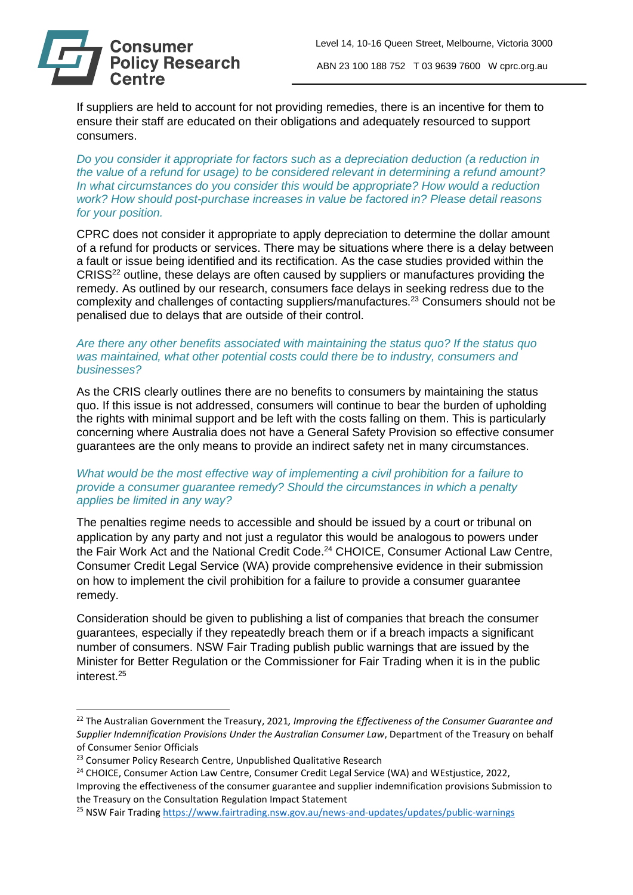

If suppliers are held to account for not providing remedies, there is an incentive for them to ensure their staff are educated on their obligations and adequately resourced to support consumers.

*Do you consider it appropriate for factors such as a depreciation deduction (a reduction in the value of a refund for usage) to be considered relevant in determining a refund amount? In what circumstances do you consider this would be appropriate? How would a reduction work? How should post-purchase increases in value be factored in? Please detail reasons for your position.* 

CPRC does not consider it appropriate to apply depreciation to determine the dollar amount of a refund for products or services. There may be situations where there is a delay between a fault or issue being identified and its rectification. As the case studies provided within the CRISS<sup>22</sup> outline, these delays are often caused by suppliers or manufactures providing the remedy. As outlined by our research, consumers face delays in seeking redress due to the complexity and challenges of contacting suppliers/manufactures. <sup>23</sup> Consumers should not be penalised due to delays that are outside of their control.

### *Are there any other benefits associated with maintaining the status quo? If the status quo was maintained, what other potential costs could there be to industry, consumers and businesses?*

As the CRIS clearly outlines there are no benefits to consumers by maintaining the status quo. If this issue is not addressed, consumers will continue to bear the burden of upholding the rights with minimal support and be left with the costs falling on them. This is particularly concerning where Australia does not have a General Safety Provision so effective consumer guarantees are the only means to provide an indirect safety net in many circumstances.

### *What would be the most effective way of implementing a civil prohibition for a failure to provide a consumer guarantee remedy? Should the circumstances in which a penalty applies be limited in any way?*

The penalties regime needs to accessible and should be issued by a court or tribunal on application by any party and not just a regulator this would be analogous to powers under the Fair Work Act and the National Credit Code. <sup>24</sup> CHOICE, Consumer Actional Law Centre, Consumer Credit Legal Service (WA) provide comprehensive evidence in their submission on how to implement the civil prohibition for a failure to provide a consumer guarantee remedy.

Consideration should be given to publishing a list of companies that breach the consumer guarantees, especially if they repeatedly breach them or if a breach impacts a significant number of consumers. NSW Fair Trading publish public warnings that are issued by the Minister for Better Regulation or the Commissioner for Fair Trading when it is in the public interest. 25

<sup>22</sup> The Australian Government the Treasury, 2021*, Improving the Effectiveness of the Consumer Guarantee and Supplier Indemnification Provisions Under the Australian Consumer Law*, Department of the Treasury on behalf of Consumer Senior Officials

<sup>&</sup>lt;sup>23</sup> Consumer Policy Research Centre, Unpublished Qualitative Research

<sup>&</sup>lt;sup>24</sup> CHOICE, Consumer Action Law Centre, Consumer Credit Legal Service (WA) and WEstjustice, 2022, Improving the effectiveness of the consumer guarantee and supplier indemnification provisions Submission to the Treasury on the Consultation Regulation Impact Statement

<sup>&</sup>lt;sup>25</sup> NSW Fair Trading<https://www.fairtrading.nsw.gov.au/news-and-updates/updates/public-warnings>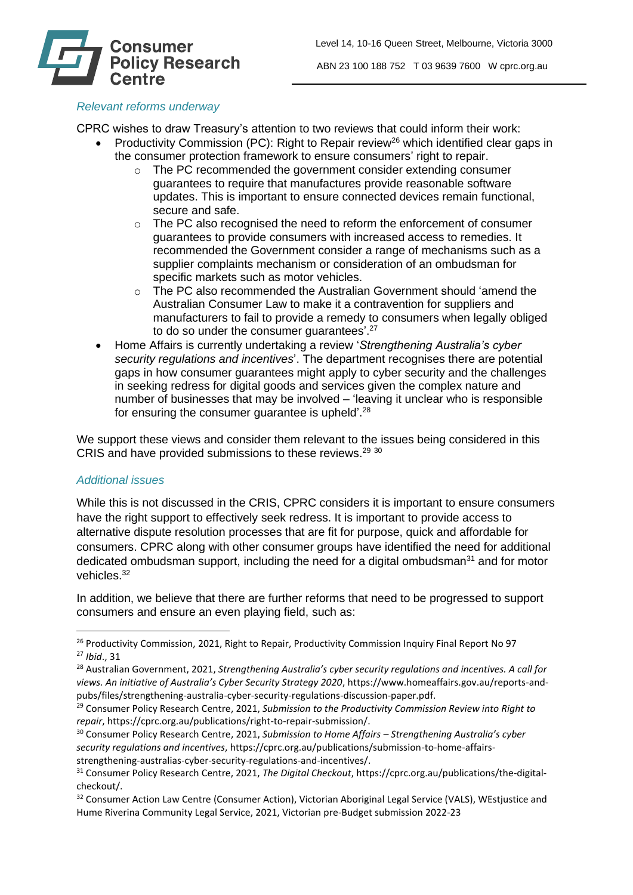

## *Relevant reforms underway*

CPRC wishes to draw Treasury's attention to two reviews that could inform their work:

- Productivity Commission (PC): Right to Repair review<sup>26</sup> which identified clear gaps in the consumer protection framework to ensure consumers' right to repair.
	- o The PC recommended the government consider extending consumer guarantees to require that manufactures provide reasonable software updates. This is important to ensure connected devices remain functional, secure and safe.
	- o The PC also recognised the need to reform the enforcement of consumer guarantees to provide consumers with increased access to remedies. It recommended the Government consider a range of mechanisms such as a supplier complaints mechanism or consideration of an ombudsman for specific markets such as motor vehicles.
	- o The PC also recommended the Australian Government should 'amend the Australian Consumer Law to make it a contravention for suppliers and manufacturers to fail to provide a remedy to consumers when legally obliged to do so under the consumer guarantees'.<sup>27</sup>
- Home Affairs is currently undertaking a review '*Strengthening Australia's cyber security regulations and incentives*'. The department recognises there are potential gaps in how consumer guarantees might apply to cyber security and the challenges in seeking redress for digital goods and services given the complex nature and number of businesses that may be involved – 'leaving it unclear who is responsible for ensuring the consumer guarantee is upheld'.<sup>28</sup>

We support these views and consider them relevant to the issues being considered in this CRIS and have provided submissions to these reviews.<sup>29 30</sup>

#### *Additional issues*

While this is not discussed in the CRIS, CPRC considers it is important to ensure consumers have the right support to effectively seek redress. It is important to provide access to alternative dispute resolution processes that are fit for purpose, quick and affordable for consumers. CPRC along with other consumer groups have identified the need for additional dedicated ombudsman support, including the need for a digital ombudsman<sup>31</sup> and for motor vehicles.<sup>32</sup>

In addition, we believe that there are further reforms that need to be progressed to support consumers and ensure an even playing field, such as:

<sup>&</sup>lt;sup>26</sup> Productivity Commission, 2021, Right to Repair, Productivity Commission Inquiry Final Report No 97 <sup>27</sup> *Ibid*., 31

<sup>28</sup> Australian Government, 2021, *Strengthening Australia's cyber security regulations and incentives. A call for views. An initiative of Australia's Cyber Security Strategy 2020*, https://www.homeaffairs.gov.au/reports-andpubs/files/strengthening-australia-cyber-security-regulations-discussion-paper.pdf.

<sup>29</sup> Consumer Policy Research Centre, 2021, *Submission to the Productivity Commission Review into Right to repair*, https://cprc.org.au/publications/right-to-repair-submission/.

<sup>30</sup> Consumer Policy Research Centre, 2021, *Submission to Home Affairs – Strengthening Australia's cyber security regulations and incentives*, https://cprc.org.au/publications/submission-to-home-affairsstrengthening-australias-cyber-security-regulations-and-incentives/.

<sup>31</sup> Consumer Policy Research Centre, 2021, *The Digital Checkout*, https://cprc.org.au/publications/the-digitalcheckout/.

<sup>&</sup>lt;sup>32</sup> Consumer Action Law Centre (Consumer Action), Victorian Aboriginal Legal Service (VALS), WEstjustice and Hume Riverina Community Legal Service, 2021, Victorian pre-Budget submission 2022-23